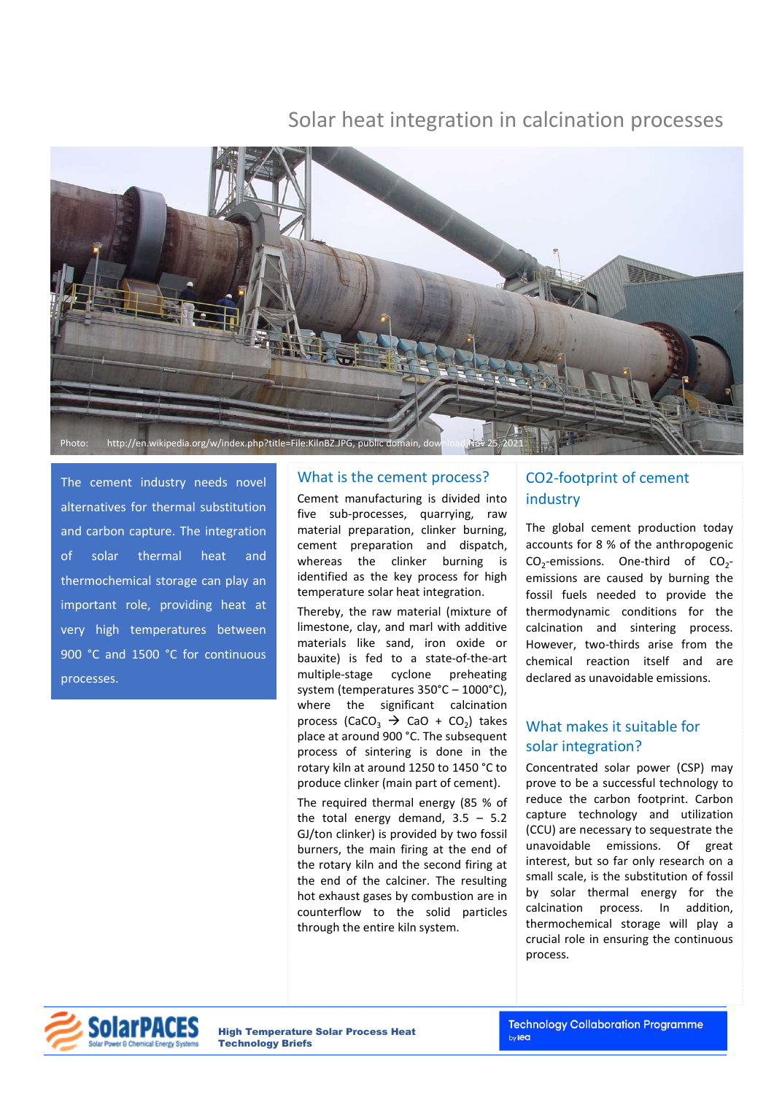# Solar heat integration in calcination processes



The cement industry needs novel alternatives for thermal substitution and carbon capture. The integration of solar thermal heat and thermochemical storage can play an important role, providing heat at very high temperatures between 900 °C and 1500 °C for continuous processes.

### What is the cement process?

Cement manufacturing is divided into five sub-processes, quarrying, raw material preparation, clinker burning, cement preparation and dispatch, whereas the clinker burning is identified as the key process for high temperature solar heat integration.

Thereby, the raw material (mixture of limestone, clay, and marl with additive materials like sand, iron oxide or bauxite) is fed to a state-of-the-art multiple-stage cyclone preheating system (temperatures 350°C – 1000°C), where the significant calcination process (CaCO<sub>3</sub>  $\rightarrow$  CaO + CO<sub>2</sub>) takes place at around 900 °C. The subsequent process of sintering is done in the rotary kiln at around 1250 to 1450 °C to produce clinker (main part of cement).

The required thermal energy (85 % of the total energy demand,  $3.5 - 5.2$ GJ/ton clinker) is provided by two fossil burners, the main firing at the end of the rotary kiln and the second firing at the end of the calciner. The resulting hot exhaust gases by combustion are in counterflow to the solid particles through the entire kiln system.

## CO2-footprint of cement industry

The global cement production today accounts for 8 % of the anthropogenic  $CO<sub>2</sub>$ -emissions. One-third of  $CO<sub>2</sub>$ emissions are caused by burning the fossil fuels needed to provide the thermodynamic conditions for the calcination and sintering process. However, two-thirds arise from the chemical reaction itself and are declared as unavoidable emissions.

### What makes it suitable for solar integration?

Concentrated solar power (CSP) may prove to be a successful technology to reduce the carbon footprint. Carbon capture technology and utilization (CCU) are necessary to sequestrate the unavoidable emissions. Of great interest, but so far only research on a small scale, is the substitution of fossil by solar thermal energy for the calcination process. In addition, thermochemical storage will play a crucial role in ensuring the continuous process.



High Temperature Solar Process Heat Technology Briefs